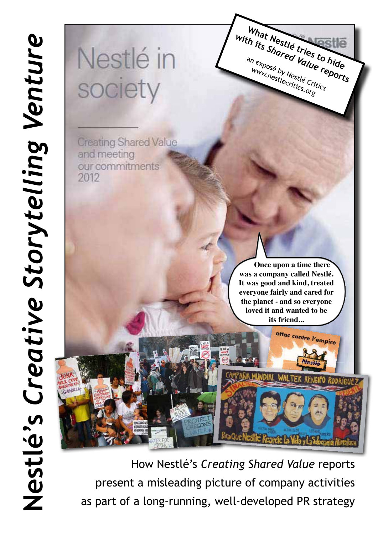# Nestlé in society

**Creating Shared Value** and meeting our commitments 2012

> **Once upon a time there was a company called Nestlé. It was good and kind, treated everyone fairly and cared for the planet - and so everyone loved it and wanted to be its friend...**

> > attac contre l'empire

What Nestlé tries to hide With its Shared Value reports

an exposé by Nestlé Critics www.nestlecritics.org

How Nestlé's *Creating Shared Value* reports present a misleading picture of company activities as part of a long-running, well-developed PR strategy

*draQuel*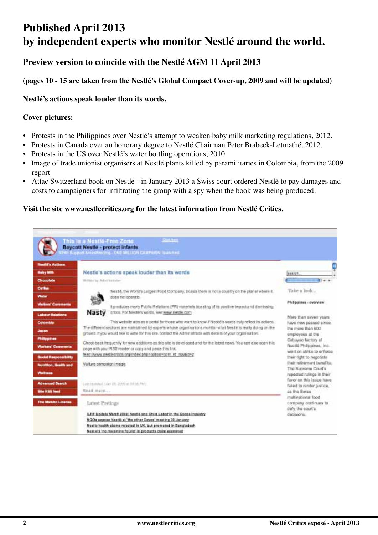# **Published April 2013 by independent experts who monitor Nestlé around the world.**

#### **Preview version to coincide with the Nestlé AGM 11 April 2013**

#### **(pages 10 - 15 are taken from the Nestlé's Global Compact Cover-up, 2009 and will be updated)**

#### **Nestlé's actions speak louder than its words.**

#### **Cover pictures:**

- Protests in the Philippines over Nestlé's attempt to weaken baby milk marketing regulations, 2012.
- Protests in Canada over an honorary degree to Nestlé Chairman Peter Brabeck-Letmathé, 2012.
- Protests in the US over Nestlé's water bottling operations, 2010
- Image of trade unionist organisers at Nestlé plants killed by paramilitaries in Colombia, from the 2009 report
- Attac Switzerland book on Nestlé in January 2013 a Swiss court ordered Nestlé to pay damages and costs to campaigners for infiltrating the group with a spy when the book was being produced.

#### **Visit the site www.nestlecritics.org for the latest information from Nestlé Critics.**

|                                                             | This is a Nestlé-Free Zone<br><b>Boycott Nestlé - protect infants</b><br>Fill Buse of Amasterding - ONE MILLION CAMPROON Qualched                                                                                                                                                                                                            |                                                                                          |
|-------------------------------------------------------------|----------------------------------------------------------------------------------------------------------------------------------------------------------------------------------------------------------------------------------------------------------------------------------------------------------------------------------------------|------------------------------------------------------------------------------------------|
| <b><i><u>Hadili's Actions</u></i></b><br><b>Hutry Nills</b> | Nestle's actions speak louder than its words                                                                                                                                                                                                                                                                                                 | search.                                                                                  |
| Chocolabe                                                   | Whiteau by John Internation                                                                                                                                                                                                                                                                                                                  | $-1141$                                                                                  |
| Cotton<br><b>Water</b>                                      | Neste, the World's Largest Food Company, boasts there is not a country on the planet where it.<br>does not tiperate.                                                                                                                                                                                                                         | Take a look                                                                              |
| <b>Visitors' Comments</b><br><b>Labour Raintinna</b>        | It produces many Public Relations (PR) materials boasting of its positive impact and dismissing<br>Nasty<br>critics. For Nextit/s words, sentwaw.nestle.com                                                                                                                                                                                  | Philippines - overview                                                                   |
| Colorabia<br>Japan                                          | This website acts as a portal for those who want to know if Nestiti's words truly reflect its actions.<br>The different sections are maintained by experts whose organisations monitor what Westill is really doing on the<br>ground. If you would like to write for this site, contact the Administrator with details of your organisation. | More than saven years<br>have now passed since.<br>the more than 600<br>employees at the |
| <b>Philippines</b><br>Warkers' Comments                     | Check back frequently for new additions as this site is developed and for the latent news. You can also scan this<br>page with your RSS reader or copy and peste this link:                                                                                                                                                                  | Cabuyao factory of<br>Neglié Philippines, Inc.<br>went on strike to enforce              |
| <b>Social Responsibility</b><br>Nutrition, Health and       | feed (www.nestlecritics.org/index.php?opton=com.ind rss&id=2<br>Vulture campaign intege.                                                                                                                                                                                                                                                     | their right to negotiate<br>their retirement benefits:<br>The Suprema Court's            |
| Wellriege<br><b>Advanced Search</b>                         | Leet to mind 1 (a) = (7), 2000 at 34.38 PM (                                                                                                                                                                                                                                                                                                 | nepsided rulings in their<br>favor on this issue have<br>failed to render justice.       |
| Site HSS feed                                               | Haad muse                                                                                                                                                                                                                                                                                                                                    | as the Bwiss                                                                             |
| <b>The Manbo License</b>                                    | Latest Postings                                                                                                                                                                                                                                                                                                                              | multinational food<br>company continues to<br>duly the court's                           |
|                                                             | ILRF Update March 2009; Neetle and Child Labor in the Cocoa Industry<br>NGOs excess Neeth at 'the other Dayos' meeting 30 January<br>Nextle basith cisima relacted in UK, but promoted in Bangladeah<br>Nextle's 'no melamine found' in products claim examined                                                                              | decisions.                                                                               |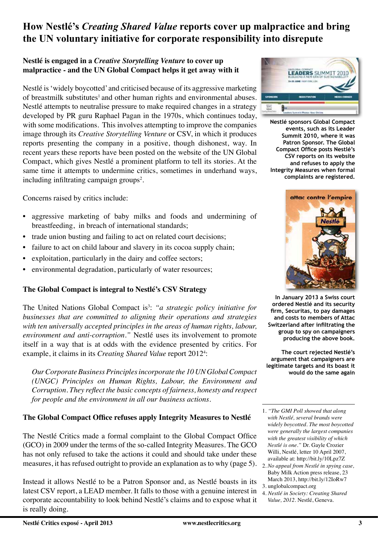### **How Nestlé's** *Creating Shared Value* **reports cover up malpractice and bring the UN voluntary initiative for corporate responsibility into disrepute**

#### **Nestlé is engaged in a** *Creative Storytelling Venture* **to cover up malpractice - and the UN Global Compact helps it get away with it**

Nestlé is 'widely boycotted' and criticised because of its aggressive marketing of breastmilk substitutes<sup>1</sup> and other human rights and environmental abuses. Nestlé attempts to neutralise pressure to make required changes in a strategy developed by PR guru Raphael Pagan in the 1970s, which continues today, with some modifications. This involves attempting to improve the companies image through its *Creative Storytelling Venture* or CSV, in which it produces reports presenting the company in a positive, though dishonest, way. In recent years these reports have been posted on the website of the UN Global Compact, which gives Nestlé a prominent platform to tell its stories. At the same time it attempts to undermine critics, sometimes in underhand ways, including infiltrating campaign groups<sup>2</sup>.

Concerns raised by critics include:

- aggressive marketing of baby milks and foods and undermining of breastfeeding, in breach of international standards;
- trade union busting and failing to act on related court decisions;
- failure to act on child labour and slavery in its cocoa supply chain;
- exploitation, particularly in the dairy and coffee sectors;
- environmental degradation, particularly of water resources;

#### **The Global Compact is integral to Nestlé's CSV Strategy**

The United Nations Global Compact is<sup>3</sup>: "*a strategic policy initiative for businesses that are committed to aligning their operations and strategies with ten universally accepted principles in the areas of human rights, labour, environment and anti-corruption."* Nestlé uses its involvement to promote itself in a way that is at odds with the evidence presented by critics. For example, it claims in its *Creating Shared Value* report 2012<sup>4</sup>:

*Our Corporate Business Principles incorporate the 10 UN Global Compact (UNGC) Principles on Human Rights, Labour, the Environment and Corruption. They reflect the basic concepts of fairness, honesty and respect for people and the environment in all our business actions.* 

#### **The Global Compact Office refuses apply Integrity Measures to Nestlé**

The Nestlé Critics made a formal complaint to the Global Compact Office (GCO) in 2009 under the terms of the so-called Integrity Measures. The GCO has not only refused to take the actions it could and should take under these measures, it has refused outright to provide an explanation as to why (page 5).

Instead it allows Nestlé to be a Patron Sponsor and, as Nestlé boasts in its latest CSV report, a LEAD member. It falls to those with a genuine interest in corporate accountability to look behind Nestlé's claims and to expose what it is really doing.



**Nestlé sponsors Global Compact events, such as its Leader Summit 2010, where it was Patron Sponsor. The Global Compact Office posts Nestlé's CSV reports on its website and refuses to apply the Integrity Measures when formal complaints are registered.**



**In January 2013 a Swiss court ordered Nestlé and its security firm, Securitas, to pay damages and costs to members of Attac Switzerland after infiltrating the group to spy on campaigners producing the above book.**

**The court rejected Nestlé's argument that campaigners are legitimate targets and its boast it would do the same again**

- 1. *"The GMI Poll showed that along with Nestlé, several brands were widely boycotted. The most boycotted were generally the largest companies with the greatest visibility of which Nestlé is one."* Dr. Gayle Crozier Willi, Nestlé, letter 10 April 2007, available at: http://bit.ly/10Lpz7Z
- 2. *No appeal from Nestlé in spying case,*  Baby Milk Action press release, 23 March 2013, http://bit.ly/12IoRw7
- 3. unglobalcompact.org
- 4. *Nestlé in Society: Creating Shared Value, 2012.* Nestlé, Geneva.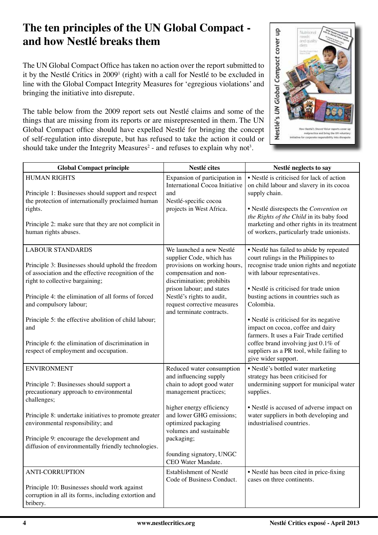## **The ten principles of the UN Global Compact and how Nestlé breaks them**

The UN Global Compact Office has taken no action over the report submitted to it by the Nestlé Critics in 2009<sup>1</sup> (right) with a call for Nestlé to be excluded in line with the Global Compact Integrity Measures for 'egregious violations' and bringing the initiative into disrepute.

The table below from the 2009 report sets out Nestlé claims and some of the things that are missing from its reports or are misrepresented in them. The UN Global Compact office should have expelled Nestlé for bringing the concept of self-regulation into disrepute, but has refused to take the action it could or should take under the Integrity Measures<sup>2</sup> - and refuses to explain why not<sup>3</sup>.



|                                                                                                                                                                                                                                                                                                                                                                                                                       | Nestlé cites                                                                                                                                                                                                                                                                        |                                                                                                                                                                                                                                                                                                                                                                                                                                                                                                   |
|-----------------------------------------------------------------------------------------------------------------------------------------------------------------------------------------------------------------------------------------------------------------------------------------------------------------------------------------------------------------------------------------------------------------------|-------------------------------------------------------------------------------------------------------------------------------------------------------------------------------------------------------------------------------------------------------------------------------------|---------------------------------------------------------------------------------------------------------------------------------------------------------------------------------------------------------------------------------------------------------------------------------------------------------------------------------------------------------------------------------------------------------------------------------------------------------------------------------------------------|
| <b>Global Compact principle</b>                                                                                                                                                                                                                                                                                                                                                                                       |                                                                                                                                                                                                                                                                                     | Nestlé neglects to say                                                                                                                                                                                                                                                                                                                                                                                                                                                                            |
| <b>HUMAN RIGHTS</b><br>Principle 1: Businesses should support and respect<br>the protection of internationally proclaimed human<br>rights.<br>Principle 2: make sure that they are not complicit in<br>human rights abuses.                                                                                                                                                                                           | Expansion of participation in<br>International Cocoa Initiative<br>and<br>Nestlé-specific cocoa<br>projects in West Africa.                                                                                                                                                         | • Nestlé is criticised for lack of action<br>on child labour and slavery in its cocoa<br>supply chain.<br>· Nestlé disrespects the Convention on<br>the Rights of the Child in its baby food<br>marketing and other rights in its treatment<br>of workers, particularly trade unionists.                                                                                                                                                                                                          |
| <b>LABOUR STANDARDS</b><br>Principle 3: Businesses should uphold the freedom<br>of association and the effective recognition of the<br>right to collective bargaining;<br>Principle 4: the elimination of all forms of forced<br>and compulsory labour;<br>Principle 5: the effective abolition of child labour;<br>and<br>Principle 6: the elimination of discrimination in<br>respect of employment and occupation. | We launched a new Nestlé<br>supplier Code, which has<br>provisions on working hours,<br>compensation and non-<br>discrimination; prohibits<br>prison labour; and states<br>Nestlé's rights to audit,<br>request corrective measures<br>and terminate contracts.                     | • Nestlé has failed to abide by repeated<br>court rulings in the Philippines to<br>recognise trade union rights and negotiate<br>with labour representatives.<br>• Nestlé is criticised for trade union<br>busting actions in countries such as<br>Colombia.<br>• Nestlé is criticised for its negative<br>impact on cocoa, coffee and dairy<br>farmers. It uses a Fair Trade certified<br>coffee brand involving just 0.1% of<br>suppliers as a PR tool, while failing to<br>give wider support. |
| <b>ENVIRONMENT</b><br>Principle 7: Businesses should support a<br>precautionary approach to environmental<br>challenges;<br>Principle 8: undertake initiatives to promote greater<br>environmental responsibility; and<br>Principle 9: encourage the development and<br>diffusion of environmentally friendly technologies.                                                                                           | Reduced water consumption<br>and influencing supply<br>chain to adopt good water<br>management practices;<br>higher energy efficiency<br>and lower GHG emissions;<br>optimized packaging<br>volumes and sustainable<br>packaging;<br>founding signatory, UNGC<br>CEO Water Mandate. | · Nestlé's bottled water marketing<br>strategy has been criticised for<br>undermining support for municipal water<br>supplies.<br>• Nestlé is accused of adverse impact on<br>water suppliers in both developing and<br>industrialised countries.                                                                                                                                                                                                                                                 |
| <b>ANTI-CORRUPTION</b><br>Principle 10: Businesses should work against<br>corruption in all its forms, including extortion and<br>bribery.                                                                                                                                                                                                                                                                            | Establishment of Nestlé<br>Code of Business Conduct.                                                                                                                                                                                                                                | • Nestlé has been cited in price-fixing<br>cases on three continents.                                                                                                                                                                                                                                                                                                                                                                                                                             |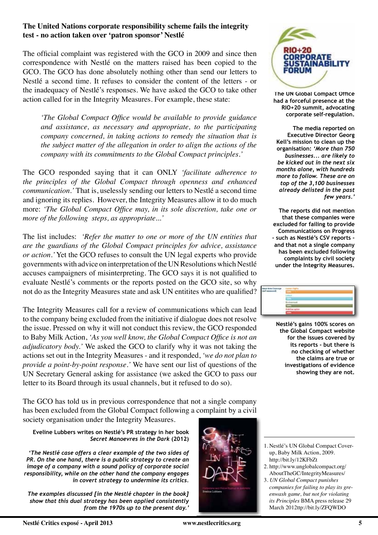#### **The United Nations corporate responsibility scheme fails the integrity test - no action taken over 'patron sponsor' Nestlé**

The official complaint was registered with the GCO in 2009 and since then correspondence with Nestlé on the matters raised has been copied to the GCO. The GCO has done absolutely nothing other than send our letters to Nestlé a second time. It refuses to consider the content of the letters - or the inadequacy of Nestlé's responses. We have asked the GCO to take other action called for in the Integrity Measures. For example, these state:

*'The Global Compact Office would be available to provide guidance and assistance, as necessary and appropriate, to the participating company concerned, in taking actions to remedy the situation that is the subject matter of the allegation in order to align the actions of the company with its commitments to the Global Compact principles.'*

The GCO responded saying that it can ONLY *'facilitate adherence to the principles of the Global Compact through openness and enhanced communication.'* That is, uselessly sending our letters to Nestlé a second time and ignoring its replies. However, the Integrity Measures allow it to do much more: *'The Global Compact Office may, in its sole discretion, take one or more of the following steps, as appropriate...'* 

The list includes: *'Refer the matter to one or more of the UN entities that are the guardians of the Global Compact principles for advice, assistance or action.'* Yet the GCO refuses to consult the UN legal experts who provide governments with advice on interpretation of the UN Resolutions which Nestlé accuses campaigners of misinterpreting. The GCO says it is not qualified to evaluate Nestlé's comments or the reports posted on the GCO site, so why not do as the Integrity Measures state and ask UN entitites who are qualified?

The Integrity Measures call for a review of communications which can lead to the company being excluded from the initiative if dialogue does not resolve the issue. Pressed on why it will not conduct this review, the GCO responded to Baby Milk Action, *'As you well know, the Global Compact Office is not an adjudicatory body.'* We asked the GCO to clarify why it was not taking the actions set out in the Integrity Measures - and it responded, *'we do not plan to provide a point-by-point response.'* We have sent our list of questions of the UN Secretary General asking for assistance (we asked the GCO to pass our letter to its Board through its usual channels, but it refused to do so).

The GCO has told us in previous correspondence that not a single company has been excluded from the Global Compact following a complaint by a civil society organisation under the Integrity Measures.

**Eveline Lubbers writes on Nestlé's PR strategy in her book**  *Secret Manoevres in the Dark* **(2012)**

*'The Nestlé case offers a clear example of the two sides of PR. On the one hand, there is a public strategy to create an image of a company with a sound policy of corporate social responsibility, while on the other hand the company engages in covert strategy to undermine its critics.* 

*The examples discussed [in the Nestlé chapter in the book] show that this dual strategy has been applied consistently from the 1970s up to the present day.'* 





**The UN Global Compact Office had a forceful presence at the RIO+20 summit, advocating corporate self-regulation.** 

**The media reported on Executive Director Georg Kell's mission to clean up the organisation:** *'More than 750 businesses... are likely to be kicked out in the next six months alone, with hundreds more to follow. These are on top of the 3,100 businesses already delisted in the past few years.'*

**The reports did not mention that these companies were excluded for failing to provide Communications on Progress - such as Nestlé's CSV reports and that not a single company has been excluded following complaints by civil society under the Integrity Measures.** 

**Nestlé's gains 100% scores on the Global Compact website for the issues covered by its reports - but there is no checking of whether the claims are true or investigations of evidence showing they are not.**

- 2. http://www.unglobalcompact.org/ AboutTheGC/IntegrityMeasures/
- 3. *UN Global Compact punishes companies for failing to play its greenwash game, but not for violating its Principles* BMA press release 29 March 2012ttp://bit.ly/ZFQWDO

<sup>1.</sup> Nestlé's UN Global Compact Coverup, Baby Milk Action, 2009. http://bit.ly/12KFbZt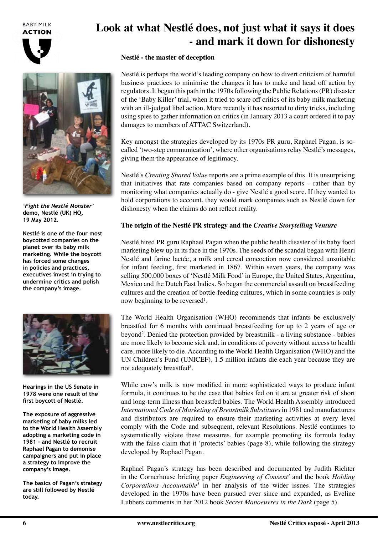**BABY MILK ACTION** 





*'Fight the Nestlé Monster'* **demo, Nestlé (UK) HQ, 19 May 2012.**

**Nestlé is one of the four most boycotted companies on the planet over its baby milk marketing. While the boycott has forced some changes in policies and practices, executives invest in trying to undermine critics and polish the company's image.**



**Hearings in the US Senate in 1978 were one result of the first boycott of Nestlé.**

**The exposure of aggressive marketing of baby milks led to the World Health Assembly adopting a marketing code in 1981 - and Nestlé to recruit Raphael Pagan to demonise campaigners and put in place a strategy to improve the company's image.** 

**The basics of Pagan's strategy are still followed by Nestlé today.**

# **Look at what Nestlé does, not just what it says it does - and mark it down for dishonesty**

#### **Nestlé - the master of deception**

Nestlé is perhaps the world's leading company on how to divert criticism of harmful business practices to minimise the changes it has to make and head off action by regulators. It began this path in the 1970s following the Public Relations (PR) disaster of the 'Baby Killer' trial, when it tried to scare off critics of its baby milk marketing with an ill-judged libel action. More recently it has resorted to dirty tricks, including using spies to gather information on critics (in January 2013 a court ordered it to pay damages to members of ATTAC Switzerland).

Key amongst the strategies developed by its 1970s PR guru, Raphael Pagan, is socalled 'two-step communication', where other organisations relay Nestlé's messages, giving them the appearance of legitimacy.

Nestlé's *Creating Shared Value* reports are a prime example of this. It is unsurprising that initiatives that rate companies based on company reports - rather than by monitoring what companies actually do - give Nestlé a good score. If they wanted to hold corporations to account, they would mark companies such as Nestlé down for dishonesty when the claims do not reflect reality.

#### **The origin of the Nestlé PR strategy and the** *Creative Storytelling Venture*

Nestlé hired PR guru Raphael Pagan when the public health disaster of its baby food marketing blew up in its face in the 1970s. The seeds of the scandal began with Henri Nestlé and farine lactée, a milk and cereal concoction now considered unsuitable for infant feeding, first marketed in 1867. Within seven years, the company was selling 500,000 boxes of 'Nestlé Milk Food' in Europe, the United States, Argentina, Mexico and the Dutch East Indies. So began the commercial assault on breastfeeding cultures and the creation of bottle-feeding cultures, which in some countries is only now beginning to be reversed<sup>1</sup>.

The World Health Organisation (WHO) recommends that infants be exclusively breastfed for 6 months with continued breastfeeding for up to 2 years of age or beyond<sup>2</sup>. Denied the protection provided by breastmilk - a living substance - babies are more likely to become sick and, in conditions of poverty without access to health care, more likely to die. According to the World Health Organisation (WHO) and the UN Children's Fund (UNICEF), 1.5 million infants die each year because they are not adequately breastfed<sup>3</sup>.

While cow's milk is now modified in more sophisticated ways to produce infant formula, it continues to be the case that babies fed on it are at greater risk of short and long-term illness than breastfed babies. The World Health Assembly introduced *International Code of Marketing of Breastmilk Substitutes* in 1981 and manufacturers and distributors are required to ensure their marketing activities at every level comply with the Code and subsequent, relevant Resolutions. Nestlé continues to systematically violate these measures, for example promoting its formula today with the false claim that it 'protects' babies (page 8), while following the strategy developed by Raphael Pagan.

Raphael Pagan's strategy has been described and documented by Judith Richter in the Cornerhouse briefing paper *Engineering of Consent4* and the book *Holding Corporations Accountable5* in her analysis of the wider issues. The strategies developed in the 1970s have been pursued ever since and expanded, as Eveline Lubbers comments in her 2012 book *Secret Manoeuvres in the Dark* (page 5).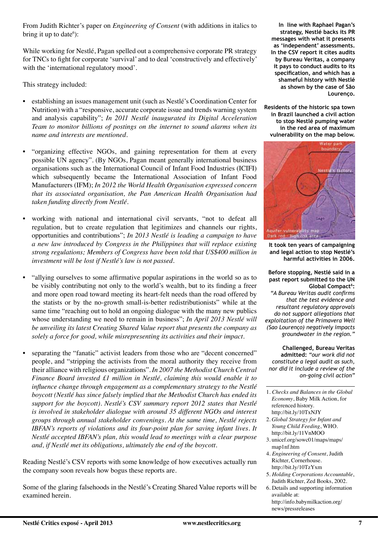From Judith Richter's paper on *Engineering of Consent* (with additions in italics to bring it up to date<sup>6</sup>):

While working for Nestlé, Pagan spelled out a comprehensive corporate PR strategy for TNCs to fight for corporate 'survival' and to deal 'constructively and effectively' with the 'international regulatory mood'.

This strategy included:

- establishing an issues management unit (such as Nestlé's Coordination Center for Nutrition) with a "responsive, accurate corporate issue and trends warning system and analysis capability"; *In 2011 Nestlé inaugurated its Digital Acceleration Team to monitor billions of postings on the internet to sound alarms when its name and interests are mentioned.*
- "organizing effective NGOs, and gaining representation for them at every possible UN agency". (By NGOs, Pagan meant generally international business organisations such as the International Council of Infant Food Industries (ICIFI) which subsequently became the International Association of Infant Food Manufacturers (IFM); *In 2012 the World Health Organisation expressed concern that its associated organisation, the Pan American Health Organisation had taken funding directly from Nestlé.*
- working with national and international civil servants, "not to defeat all regulation, but to create regulation that legitimizes and channels our rights, opportunities and contributions"; *In 2013 Nestlé is leading a campaign to have a new law introduced by Congress in the Philippines that will replace existing strong regulations; Members of Congress have been told that US\$400 million in investment will be lost if Nestlé's law is not passed.*
- "allying ourselves to some affirmative popular aspirations in the world so as to be visibly contributing not only to the world's wealth, but to its finding a freer and more open road toward meeting its heart-felt needs than the road offered by the statists or by the no-growth small-is-better redistributionists" while at the same time "reaching out to hold an ongoing dialogue with the many new publics whose understanding we need to remain in business"; *In April 2013 Nestlé will be unveiling its latest Creating Shared Value report that presents the company as solely a force for good, while misrepresenting its activities and their impact.*
- separating the "fanatic" activist leaders from those who are "decent concerned" people, and "stripping the activists from the moral authority they receive from their alliance with religious organizations". *In 2007 the Methodist Church Central Finance Board invested £1 million in Nestlé, claiming this would enable it to influence change through engagement as a complementary strategy to the Nestlé boycott (Nestlé has since falsely implied that the Methodist Church has ended its support for the boycott). Nestlé's CSV summary report 2012 states that Nestlé is involved in stakeholder dialogue with around 35 different NGOs and interest groups through annual stakeholder convenings. At the same time, Nestlé rejects IBFAN's reports of violations and its four-point plan for saving infant lives. It Nestlé accepted IBFAN's plan, this would lead to meetings with a clear purpose and, if Nestlé met its obligations, ultimately the end of the boycott.*

Reading Nestlé's CSV reports with some knowledge of how executives actually run the company soon reveals how bogus these reports are.

Some of the glaring falsehoods in the Nestlé's Creating Shared Value reports will be examined herein.

**In line with Raphael Pagan's strategy, Nestlé backs its PR messages with what it presents as 'independent' assessments. In the CSV report it cites audits by Bureau Veritas, a company it pays to conduct audits to its specification, and which has a shameful history with Nestlé as shown by the case of São Lourenço.** 

**Residents of the historic spa town in Brazil launched a civil action to stop Nestlé pumping water in the red area of maximum vulnerability on the map below.** 



**It took ten years of campaigning and legal action to stop Nestlé's harmful activities in 2006.**

#### **Before stopping, Nestlé said in a past report submitted to the UN**  Global Compact<sup>6</sup>:

*"A Bureau Veritas audit confirms that the test evidence and resultant regulatory approvals do not support allegations that exploitation of the Primavera Well (Sao Lourenço) negatively impacts groundwater in the region."*

**Challenged, Bureau Veritas admitted:** *"our work did not constitute a legal audit as such, nor did it include a review of the on-going civil action"*

- 1. *Checks and Balances in the Global Economy*, Baby Milk Action, for referenced history. http://bit.ly/10TxNJY
- 2. *Global Strategy for Infant and Young Child Feeding*, WHO. http://bit.ly/11VnMOO
- 3. unicef.org/sowc01/maps/maps/ map1nf.htm
- 4. *Engineering of Consent*, Judith Richter, Cornerhouse. http://bit.ly/10TzYxm
- 5. *Holding Corporations Accountable*, Judith Richter, Zed Books, 2002.
- 6. Details and supporting information available at: http://info.babymilkaction.org/ news/pressreleases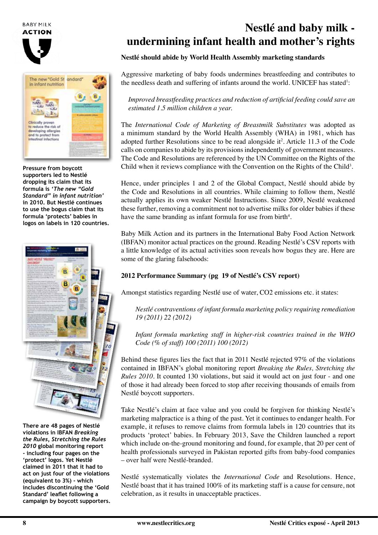**BABY MILK ACTION** 





**Pressure from boycott supporters led to Nestlé dropping its claim that its formula is** *'The new "Gold Standard" in infant nutrition'*  **in 2010. But Nestlé continues to use the bogus claim that its formula 'protects' babies in logos on labels in 120 countries.**



**There are 48 pages of Nestlé violations in IBFAN** *Breaking the Rules, Stretching the Rules 2010* **global monitoring report - including four pages on the 'protect' logos. Yet Nestlé claimed in 2011 that it had to act on just four of the violations (equivalent to 3%) - which includes discontinuing the 'Gold Standard' leaflet following a campaign by boycott supporters.**

# **Nestlé and baby milk undermining infant health and mother's rights**

#### **Nestlé should abide by World Health Assembly marketing standards**

Aggressive marketing of baby foods undermines breastfeeding and contributes to the needless death and suffering of infants around the world. UNICEF has stated<sup>1</sup>:

*Improved breastfeeding practices and reduction of artificial feeding could save an estimated 1.5 million children a year.*

The *International Code of Marketing of Breastmilk Substitutes* was adopted as a minimum standard by the World Health Assembly (WHA) in 1981, which has adopted further Resolutions since to be read alongside it<sup>2</sup>. Article 11.3 of the Code calls on companies to abide by its provisions independently of government measures. The Code and Resolutions are referenced by the UN Committee on the Rights of the Child when it reviews compliance with the Convention on the Rights of the Child<sup>3</sup>.

Hence, under principles 1 and 2 of the Global Compact, Nestlé should abide by the Code and Resolutions in all countries. While claiming to follow them, Nestlé actually applies its own weaker Nestlé Instructions. Since 2009, Nestlé weakened these further, removing a commitment not to advertise milks for older babies if these have the same branding as infant formula for use from birth $4$ .

Baby Milk Action and its partners in the International Baby Food Action Network (IBFAN) monitor actual practices on the ground. Reading Nestlé's CSV reports with a little knowledge of its actual activities soon reveals how bogus they are. Here are some of the glaring falsehoods:

#### **2012 Performance Summary (pg 19 of Nestlé's CSV report)**

Amongst statistics regarding Nestlé use of water, CO2 emissions etc. it states:

*Nestlé contraventions of infant formula marketing policy requiring remediation 19 (2011) 22 (2012)*

*Infant formula marketing staff in higher-risk countries trained in the WHO Code (% of staff) 100 (2011) 100 (2012)*

Behind these figures lies the fact that in 2011 Nestlé rejected 97% of the violations contained in IBFAN's global monitoring report *Breaking the Rules, Stretching the Rules 2010.* It counted 130 violations, but said it would act on just four - and one of those it had already been forced to stop after receiving thousands of emails from Nestlé boycott supporters.

Take Nestlé's claim at face value and you could be forgiven for thinking Nestlé's marketing malpractice is a thing of the past. Yet it continues to endanger health. For example, it refuses to remove claims from formula labels in 120 countries that its products 'protect' babies. In February 2013, Save the Children launched a report which include on-the-ground monitoring and found, for example, that 20 per cent of health professionals surveyed in Pakistan reported gifts from baby-food companies – over half were Nestlé-branded.

Nestlé systematically violates the *International Code* and Resolutions. Hence, Nestlé boast that it has trained 100% of its marketing staff is a cause for censure, not celebration, as it results in unacceptable practices.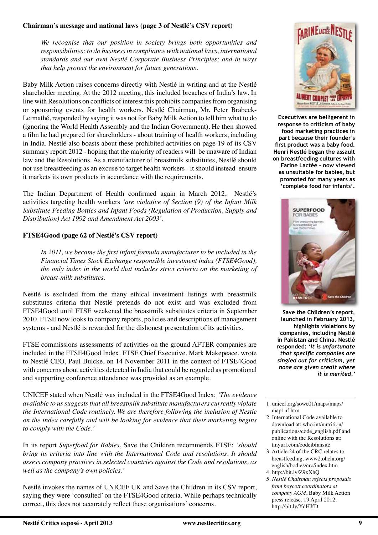#### **Chairman's message and national laws (page 3 of Nestlé's CSV report)**

*We recognise that our position in society brings both opportunities and responsibilities: to do business in compliance with national laws, international standards and our own Nestlé Corporate Business Principles; and in ways that help protect the environment for future generations.* 

Baby Milk Action raises concerns directly with Nestlé in writing and at the Nestlé shareholder meeting. At the 2012 meeting, this included breaches of India's law. In line with Resolutions on conflicts of interest this prohibits companies from organising or sponsoring events for health workers. Nestlé Chairman, Mr. Peter Brabeck-Letmathé, responded by saying it was not for Baby Milk Action to tell him what to do (ignoring the World Health Assembly and the Indian Government). He then showed a film he had prepared for shareholders - about training of health workers, including in India. Nestlé also boasts about these prohibited activities on page 19 of its CSV summary report 2012 - hoping that the majority of readers will be unaware of Indian law and the Resolutions. As a manufacturer of breastmilk substitutes, Nestlé should not use breastfeeding as an excuse to target health workers - it should instead ensure it markets its own products in accordance with the requirements.

The Indian Department of Health confirmed again in March 2012, Nestlé's activities targeting health workers *'are violative of Section (9) of the Infant Milk Substitute Feeding Bottles and Infant Foods (Regulation of Production, Supply and Distribution) Act 1992 and Amendment Act 2003'.*

#### **FTSE4Good (page 62 of Nestlé's CSV report)**

In 2011, we became the first infant formula manufacturer to be included in the *Financial Times Stock Exchange responsible investment index (FTSE4Good), the only index in the world that includes strict criteria on the marketing of breast-milk substitutes.*

Nestlé is excluded from the many ethical investment listings with breastmilk substitutes criteria that Nestlé pretends do not exist and was excluded from FTSE4Good until FTSE weakened the breastmilk substitutes criteria in September 2010. FTSE now looks to company reports, policies and descriptions of management systems - and Nestlé is rewarded for the dishonest presentation of its activities.

FTSE commissions assessments of activities on the ground AFTER companies are included in the FTSE4Good Index. FTSE Chief Executive, Mark Makepeace, wrote to Nestlé CEO, Paul Bulcke, on 14 November 2011 in the context of FTSE4Good with concerns about activities detected in India that could be regarded as promotional and supporting conference attendance was provided as an example.

UNICEF stated when Nestlé was included in the FTSE4Good Index: *'The evidence available to us suggests that all breastmilk substitute manufacturers currently violate the International Code routinely. We are therefore following the inclusion of Nestle on the index carefully and will be looking for evidence that their marketing begins to comply with the Code.'*

In its report *Superfood for Babies*, Save the Children recommends FTSE: *'should bring its criteria into line with the International Code and resolutions. It should assess company practices in selected countries against the Code and resolutions, as well as the company's own policies.'*

Nestlé invokes the names of UNICEF UK and Save the Children in its CSV report, saying they were 'consulted' on the FTSE4Good criteria. While perhaps technically correct, this does not accurately reflect these organisations' concerns.



**Executives are belligerent in response to criticism of baby food marketing practices in part because their founder's first product was a baby food. Henri Nestlé began the assault on breastfeeding cultures with Farine Lactée - now viewed as unsuitable for babies, but promoted for many years as 'complete food for infants'.** 



**Save the Children's report, launched in February 2013, highlights violations by companies, including Nestlé in Pakistan and China. Nestlé responded:** *'It is unfortunate that specific companies are singled out for criticism, yet none are given credit where it is merited.'*

- 1. unicef.org/sowc01/maps/maps/ map1nf.htm
- 2. International Code available to download at: who.int/nutrition/ publications/code\_english.pdf and online with the Resolutions at: tinyurl.com/codeibfansite
- 3. Article 24 of the CRC relates to breastfeeding. www2.ohchr.org/ english/bodies/crc/index.htm
- 4. http://bit.ly/Z9xXhQ
- 5. *Nestlé Chairman rejects proposals from boycott coordinators at company AGM*, Baby Milk Action press release, 19 April 2012. http://bit.ly/YdHJfD